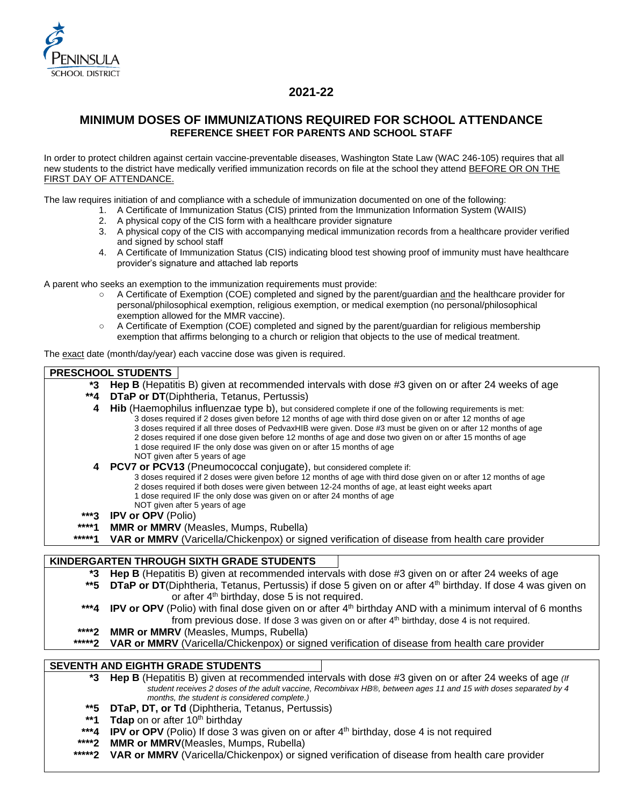

# **2021-22**

## **MINIMUM DOSES OF IMMUNIZATIONS REQUIRED FOR SCHOOL ATTENDANCE REFERENCE SHEET FOR PARENTS AND SCHOOL STAFF**

In order to protect children against certain vaccine-preventable diseases, Washington State Law (WAC 246-105) requires that all new students to the district have medically verified immunization records on file at the school they attend BEFORE OR ON THE FIRST DAY OF ATTENDANCE.

The law requires initiation of and compliance with a schedule of immunization documented on one of the following:

- 1. A Certificate of Immunization Status (CIS) printed from the Immunization Information System (WAIIS)
	- 2. A physical copy of the CIS form with a healthcare provider signature
	- 3. A physical copy of the CIS with accompanying medical immunization records from a healthcare provider verified and signed by school staff
	- 4. A Certificate of Immunization Status (CIS) indicating blood test showing proof of immunity must have healthcare provider's signature and attached lab reports

A parent who seeks an exemption to the immunization requirements must provide:

- A Certificate of Exemption (COE) completed and signed by the parent/guardian and the healthcare provider for personal/philosophical exemption, religious exemption, or medical exemption (no personal/philosophical exemption allowed for the MMR vaccine).
- A Certificate of Exemption (COE) completed and signed by the parent/guardian for religious membership exemption that affirms belonging to a church or religion that objects to the use of medical treatment.

The exact date (month/day/year) each vaccine dose was given is required.

#### **PRESCHOOL STUDENTS**

- **\*3 Hep B** (Hepatitis B) given at recommended intervals with dose #3 given on or after 24 weeks of age
- **\*\*4 DTaP or DT**(Diphtheria, Tetanus, Pertussis)
	- **4 Hib** (Haemophilus influenzae type b), but considered complete if one of the following requirements is met: 3 doses required if 2 doses given before 12 months of age with third dose given on or after 12 months of age 3 doses required if all three doses of PedvaxHIB were given. Dose #3 must be given on or after 12 months of age 2 doses required if one dose given before 12 months of age and dose two given on or after 15 months of age
		- 1 dose required IF the only dose was given on or after 15 months of age
		- NOT given after 5 years of age
	- **4 PCV7 or PCV13** (Pneumococcal conjugate), but considered complete if:
		- 3 doses required if 2 doses were given before 12 months of age with third dose given on or after 12 months of age
		- 2 doses required if both doses were given between 12-24 months of age, at least eight weeks apart
		- 1 dose required IF the only dose was given on or after 24 months of age
		- NOT given after 5 years of age
- **\*\*\*3 IPV or OPV** (Polio)
- **\*\*\*\*1 MMR or MMRV** (Measles, Mumps, Rubella)
- VAR or MMRV (Varicella/Chickenpox) or signed verification of disease from health care provider

### **KINDERGARTEN THROUGH SIXTH GRADE STUDENTS**

- **\*3 Hep B** (Hepatitis B) given at recommended intervals with dose #3 given on or after 24 weeks of age
- \*\*5 **DTaP or DT**(Diphtheria, Tetanus, Pertussis) if dose 5 given on or after 4<sup>th</sup> birthday. If dose 4 was given on or after  $4<sup>th</sup>$  birthday, dose 5 is not required.
- \*\*\*4 **IPV or OPV** (Polio) with final dose given on or after 4<sup>th</sup> birthday AND with a minimum interval of 6 months from previous dose. If dose 3 was given on or after 4<sup>th</sup> birthday, dose 4 is not required.
- **\*\*\*\*2 MMR or MMRV** (Measles, Mumps, Rubella)<br>\*\*\*\*\***2** VAR or MMRV (Varicella/Chickenpox) or sig
- **VAR or MMRV** (Varicella/Chickenpox) or signed verification of disease from health care provider

### **SEVENTH AND EIGHTH GRADE STUDENTS**

**\*3 Hep B** (Hepatitis B) given at recommended intervals with dose #3 given on or after 24 weeks of age *(If student receives 2 doses of the adult vaccine, Recombivax HB®, between ages 11 and 15 with doses separated by 4 months, the student is considered complete.)*

- **\*\*5 DTaP, DT, or Td** (Diphtheria, Tetanus, Pertussis)
- \*\*1 **Tdap** on or after 10<sup>th</sup> birthday
- \*\*\*4 **IPV or OPV** (Polio) If dose 3 was given on or after 4<sup>th</sup> birthday, dose 4 is not required
- **\*\*\*\*2 MMR or MMRV**(Measles, Mumps, Rubella)
- **\*\*\*\*\*2 VAR or MMRV** (Varicella/Chickenpox) or signed verification of disease from health care provider